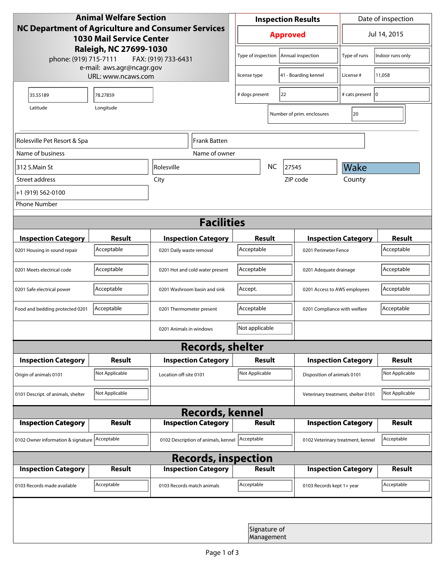| <b>Animal Welfare Section</b><br><b>NC Department of Agriculture and Consumer Services</b><br><b>1030 Mail Service Center</b><br>Raleigh, NC 27699-1030 |                     |                                     | <b>Inspection Results</b>                  |                            |                                    | Date of inspection         |                |  |
|---------------------------------------------------------------------------------------------------------------------------------------------------------|---------------------|-------------------------------------|--------------------------------------------|----------------------------|------------------------------------|----------------------------|----------------|--|
|                                                                                                                                                         |                     |                                     | <b>Approved</b>                            |                            |                                    | Jul 14, 2015               |                |  |
| phone: (919) 715-7111                                                                                                                                   | FAX: (919) 733-6431 | Type of inspection                  |                                            | Annual inspection          | Type of runs                       | Indoor runs only           |                |  |
| e-mail: aws.agr@ncagr.gov<br>URL: www.ncaws.com                                                                                                         |                     |                                     | license type                               |                            | 41 - Boarding kennel               | License #                  | 11,058         |  |
| 35.55189                                                                                                                                                | 78.27859            |                                     | # dogs present                             | 22                         |                                    | # cats present   0         |                |  |
| Latitude                                                                                                                                                | Longitude           |                                     |                                            |                            | Number of prim. enclosures         | 20                         |                |  |
| Rolesville Pet Resort & Spa                                                                                                                             |                     | Frank Batten                        |                                            |                            |                                    |                            |                |  |
| Name of business                                                                                                                                        |                     | Name of owner                       |                                            |                            |                                    |                            |                |  |
| 312 S.Main St                                                                                                                                           |                     | <i><b>Rolesville</b></i>            |                                            | NC                         | 27545                              | Wake                       |                |  |
| Street address                                                                                                                                          |                     | City                                |                                            |                            | ZIP code                           | County                     |                |  |
| +1 (919) 562-0100                                                                                                                                       |                     |                                     |                                            |                            |                                    |                            |                |  |
| <b>Phone Number</b>                                                                                                                                     |                     |                                     |                                            |                            |                                    |                            |                |  |
| <b>Facilities</b>                                                                                                                                       |                     |                                     |                                            |                            |                                    |                            |                |  |
| <b>Inspection Category</b>                                                                                                                              | <b>Result</b>       | <b>Inspection Category</b>          | <b>Result</b>                              |                            |                                    | <b>Inspection Category</b> | <b>Result</b>  |  |
| 0201 Housing in sound repair                                                                                                                            | Acceptable          | 0201 Daily waste removal            | Acceptable                                 |                            | 0201 Perimeter Fence               |                            | Acceptable     |  |
| 0201 Meets electrical code                                                                                                                              | Acceptable          | 0201 Hot and cold water present     | Acceptable                                 |                            | 0201 Adequate drainage             |                            | Acceptable     |  |
| 0201 Safe electrical power                                                                                                                              | Acceptable          | 0201 Washroom basin and sink        | Accept.<br>0201 Access to AWS employees    |                            |                                    | Acceptable                 |                |  |
| Food and bedding protected 0201                                                                                                                         | Acceptable          | 0201 Thermometer present            | Acceptable<br>0201 Compliance with welfare |                            |                                    | Acceptable                 |                |  |
|                                                                                                                                                         |                     | 0201 Animals in windows             | Not applicable                             |                            |                                    |                            |                |  |
| <b>Records, shelter</b>                                                                                                                                 |                     |                                     |                                            |                            |                                    |                            |                |  |
| <b>Inspection Category</b>                                                                                                                              | <b>Result</b>       | <b>Inspection Category</b>          | Result                                     |                            |                                    | <b>Inspection Category</b> | Result         |  |
| Origin of animals 0101                                                                                                                                  | Not Applicable      | Location off-site 0101              | Not Applicable                             |                            | Disposition of animals 0101        |                            | Not Applicable |  |
| 0101 Descript. of animals, shelter                                                                                                                      | Not Applicable      |                                     |                                            |                            | Veterinary treatment, shelter 0101 |                            | Not Applicable |  |
| <b>Records, kennel</b>                                                                                                                                  |                     |                                     |                                            |                            |                                    |                            |                |  |
| <b>Inspection Category</b>                                                                                                                              | Result              | <b>Inspection Category</b>          | <b>Result</b>                              |                            |                                    | <b>Inspection Category</b> | Result         |  |
| 0102 Owner information & signature Acceptable                                                                                                           |                     | 0102 Description of animals, kennel | Acceptable                                 |                            | 0102 Veterinary treatment, kennel  |                            | Acceptable     |  |
| <b>Records, inspection</b>                                                                                                                              |                     |                                     |                                            |                            |                                    |                            |                |  |
| <b>Inspection Category</b>                                                                                                                              | <b>Result</b>       | <b>Inspection Category</b>          | <b>Result</b>                              |                            |                                    | <b>Inspection Category</b> | Result         |  |
| 0103 Records made available                                                                                                                             | Acceptable          | 0103 Records match animals          | Acceptable                                 |                            | 0103 Records kept 1+ year          |                            | Acceptable     |  |
|                                                                                                                                                         |                     |                                     |                                            |                            |                                    |                            |                |  |
|                                                                                                                                                         |                     |                                     |                                            | Signature of<br>Management |                                    |                            |                |  |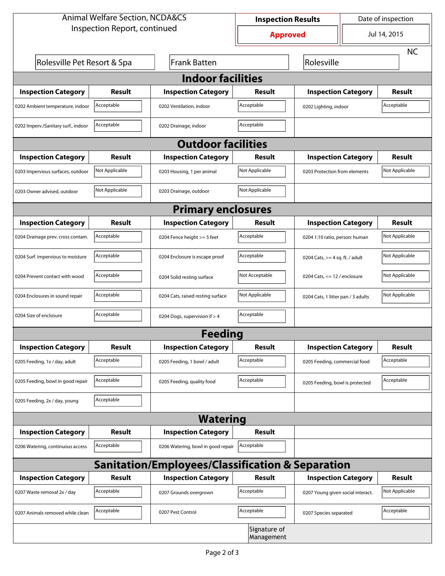| <b>Animal Welfare Section, NCDA&amp;CS</b>                  |                |                                    | <b>Inspection Results</b>  |                                     |                            | Date of inspection |  |  |
|-------------------------------------------------------------|----------------|------------------------------------|----------------------------|-------------------------------------|----------------------------|--------------------|--|--|
| Inspection Report, continued                                |                |                                    | <b>Approved</b>            |                                     |                            | Jul 14, 2015       |  |  |
|                                                             |                |                                    |                            |                                     |                            |                    |  |  |
| Rolesville Pet Resort & Spa                                 |                | Frank Batten                       |                            | Rolesville                          |                            |                    |  |  |
| <b>Indoor facilities</b>                                    |                |                                    |                            |                                     |                            |                    |  |  |
| <b>Inspection Category</b>                                  | Result         | <b>Inspection Category</b>         | Result                     |                                     | <b>Inspection Category</b> | <b>Result</b>      |  |  |
| 0202 Ambient temperature, indoor                            | Acceptable     | 0202 Ventilation, indoor           | Acceptable                 | Acceptable<br>0202 Lighting, indoor |                            |                    |  |  |
| 0202 Imperv./Sanitary surf., indoor                         | Acceptable     | 0202 Drainage, indoor              | Acceptable                 |                                     |                            |                    |  |  |
| <b>Outdoor facilities</b>                                   |                |                                    |                            |                                     |                            |                    |  |  |
| <b>Inspection Category</b>                                  | Result         | <b>Inspection Category</b>         | Result                     | <b>Inspection Category</b>          |                            | <b>Result</b>      |  |  |
| 0203 Impervious surfaces, outdoor                           | Not Applicable | 0203 Housing, 1 per animal         | Not Applicable             | 0203 Protection from elements       |                            | Not Applicable     |  |  |
| 0203 Owner advised, outdoor                                 | Not Applicable | 0203 Drainage, outdoor             | Not Applicable             |                                     |                            |                    |  |  |
| <b>Primary enclosures</b>                                   |                |                                    |                            |                                     |                            |                    |  |  |
| <b>Inspection Category</b>                                  | Result         | <b>Inspection Category</b>         | Result                     |                                     | <b>Inspection Category</b> | <b>Result</b>      |  |  |
| 0204 Drainage prev. cross contam.                           | Acceptable     | 0204 Fence height >= 5 feet        | Acceptable                 | 0204 1:10 ratio, person: human      |                            | Not Applicable     |  |  |
| 0204 Surf. impervious to moisture                           | Acceptable     | 0204 Enclosure is escape proof     | Acceptable                 | 0204 Cats, $>=$ 4 sq. ft. / adult   |                            | Not Applicable     |  |  |
| 0204 Prevent contact with wood                              | Acceptable     | 0204 Solid resting surface         | Not Acceptable             | 0204 Cats, $<= 12$ / enclosure      |                            | Not Applicable     |  |  |
| 0204 Enclosures in sound repair                             | Acceptable     | 0204 Cats, raised resting surface  | Not Applicable             | 0204 Cats, 1 litter pan / 3 adults  |                            | Not Applicable     |  |  |
| 0204 Size of enclosure                                      | Acceptable     | 0204 Dogs, supervision if > 4      | Acceptable                 |                                     |                            |                    |  |  |
| <b>Feeding</b>                                              |                |                                    |                            |                                     |                            |                    |  |  |
| <b>Inspection Category</b>                                  | <b>Result</b>  | <b>Inspection Category</b>         | Result                     |                                     | <b>Inspection Category</b> | <b>Result</b>      |  |  |
| 0205 Feeding, 1x / day, adult                               | Acceptable     | 0205 Feeding, 1 bowl / adult       | Acceptable                 | 0205 Feeding, commercial food       |                            | Acceptable         |  |  |
| 0205 Feeding, bowl in good repair                           | Acceptable     | 0205 Feeding, quality food         | Acceptable                 | 0205 Feeding, bowl is protected     |                            | Acceptable         |  |  |
| 0205 Feeding, 2x / day, young                               | Acceptable     |                                    |                            |                                     |                            |                    |  |  |
| <b>Watering</b>                                             |                |                                    |                            |                                     |                            |                    |  |  |
| <b>Inspection Category</b>                                  | <b>Result</b>  | <b>Inspection Category</b>         | Result                     |                                     |                            |                    |  |  |
| 0206 Watering, continuous access                            | Acceptable     | 0206 Watering, bowl in good repair | Acceptable                 |                                     |                            |                    |  |  |
| <b>Sanitation/Employees/Classification &amp; Separation</b> |                |                                    |                            |                                     |                            |                    |  |  |
| <b>Inspection Category</b>                                  | <b>Result</b>  | <b>Inspection Category</b>         | Result                     |                                     | <b>Inspection Category</b> | <b>Result</b>      |  |  |
| 0207 Waste removal 2x / day                                 | Acceptable     | 0207 Grounds overgrown             | Acceptable                 | 0207 Young given social interact.   |                            | Not Applicable     |  |  |
| 0207 Animals removed while clean                            | Acceptable     | 0207 Pest Control                  | Acceptable                 | 0207 Species separated              |                            | Acceptable         |  |  |
|                                                             |                |                                    | Signature of<br>Management |                                     |                            |                    |  |  |